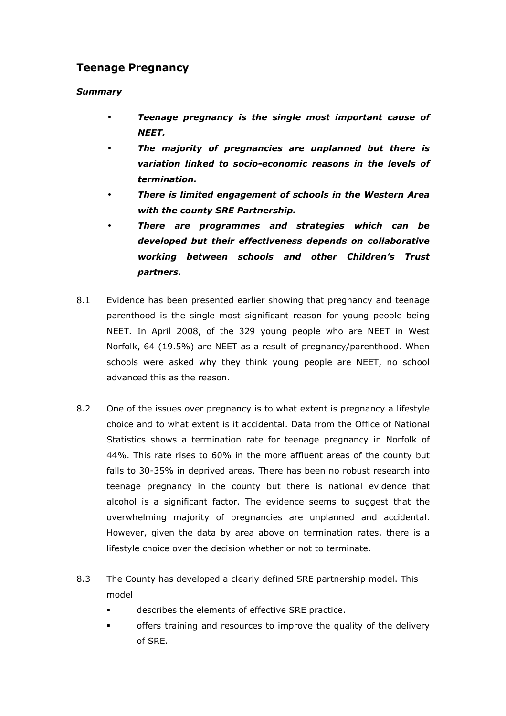## Teenage Pregnancy

## Summary

- Teenage pregnancy is the single most important cause of NEET.
- The majority of pregnancies are unplanned but there is variation linked to socio-economic reasons in the levels of termination.
- There is limited engagement of schools in the Western Area with the county SRE Partnership.
- There are programmes and strategies which can be developed but their effectiveness depends on collaborative working between schools and other Children's Trust partners.
- 8.1 Evidence has been presented earlier showing that pregnancy and teenage parenthood is the single most significant reason for young people being NEET. In April 2008, of the 329 young people who are NEET in West Norfolk, 64 (19.5%) are NEET as a result of pregnancy/parenthood. When schools were asked why they think young people are NEET, no school advanced this as the reason.
- 8.2 One of the issues over pregnancy is to what extent is pregnancy a lifestyle choice and to what extent is it accidental. Data from the Office of National Statistics shows a termination rate for teenage pregnancy in Norfolk of 44%. This rate rises to 60% in the more affluent areas of the county but falls to 30-35% in deprived areas. There has been no robust research into teenage pregnancy in the county but there is national evidence that alcohol is a significant factor. The evidence seems to suggest that the overwhelming majority of pregnancies are unplanned and accidental. However, given the data by area above on termination rates, there is a lifestyle choice over the decision whether or not to terminate.
- 8.3 The County has developed a clearly defined SRE partnership model. This model
	- describes the elements of effective SRE practice.
	- offers training and resources to improve the quality of the delivery of SRE.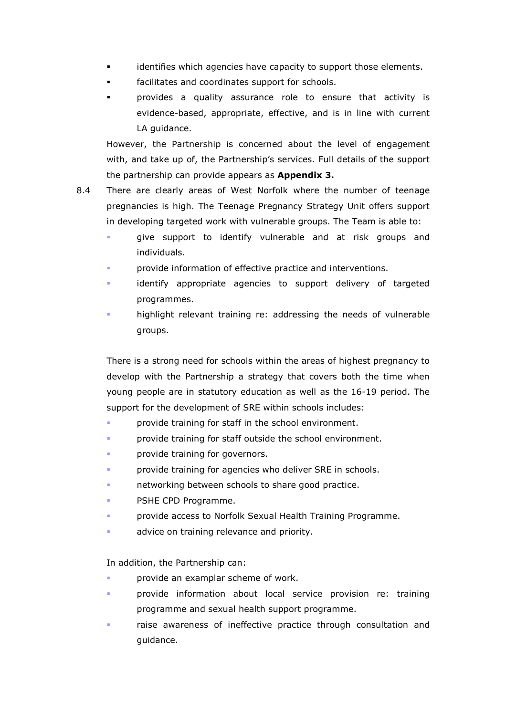- identifies which agencies have capacity to support those elements.
- **facilitates and coordinates support for schools.**
- provides a quality assurance role to ensure that activity is evidence-based, appropriate, effective, and is in line with current LA quidance.

However, the Partnership is concerned about the level of engagement with, and take up of, the Partnership's services. Full details of the support the partnership can provide appears as **Appendix 3.** 

- 8.4 There are clearly areas of West Norfolk where the number of teenage pregnancies is high. The Teenage Pregnancy Strategy Unit offers support in developing targeted work with vulnerable groups. The Team is able to:
	- give support to identify vulnerable and at risk groups and individuals.
	- provide information of effective practice and interventions.
	- identify appropriate agencies to support delivery of targeted programmes.
	- highlight relevant training re: addressing the needs of vulnerable groups.

There is a strong need for schools within the areas of highest pregnancy to develop with the Partnership a strategy that covers both the time when young people are in statutory education as well as the 16-19 period. The support for the development of SRE within schools includes:

- provide training for staff in the school environment.
- provide training for staff outside the school environment.
- provide training for governors.
- provide training for agencies who deliver SRE in schools.
- networking between schools to share good practice.
- PSHE CPD Programme.
- provide access to Norfolk Sexual Health Training Programme.
- advice on training relevance and priority.

In addition, the Partnership can:

- provide an examplar scheme of work.
- provide information about local service provision re: training programme and sexual health support programme.
- raise awareness of ineffective practice through consultation and guidance.